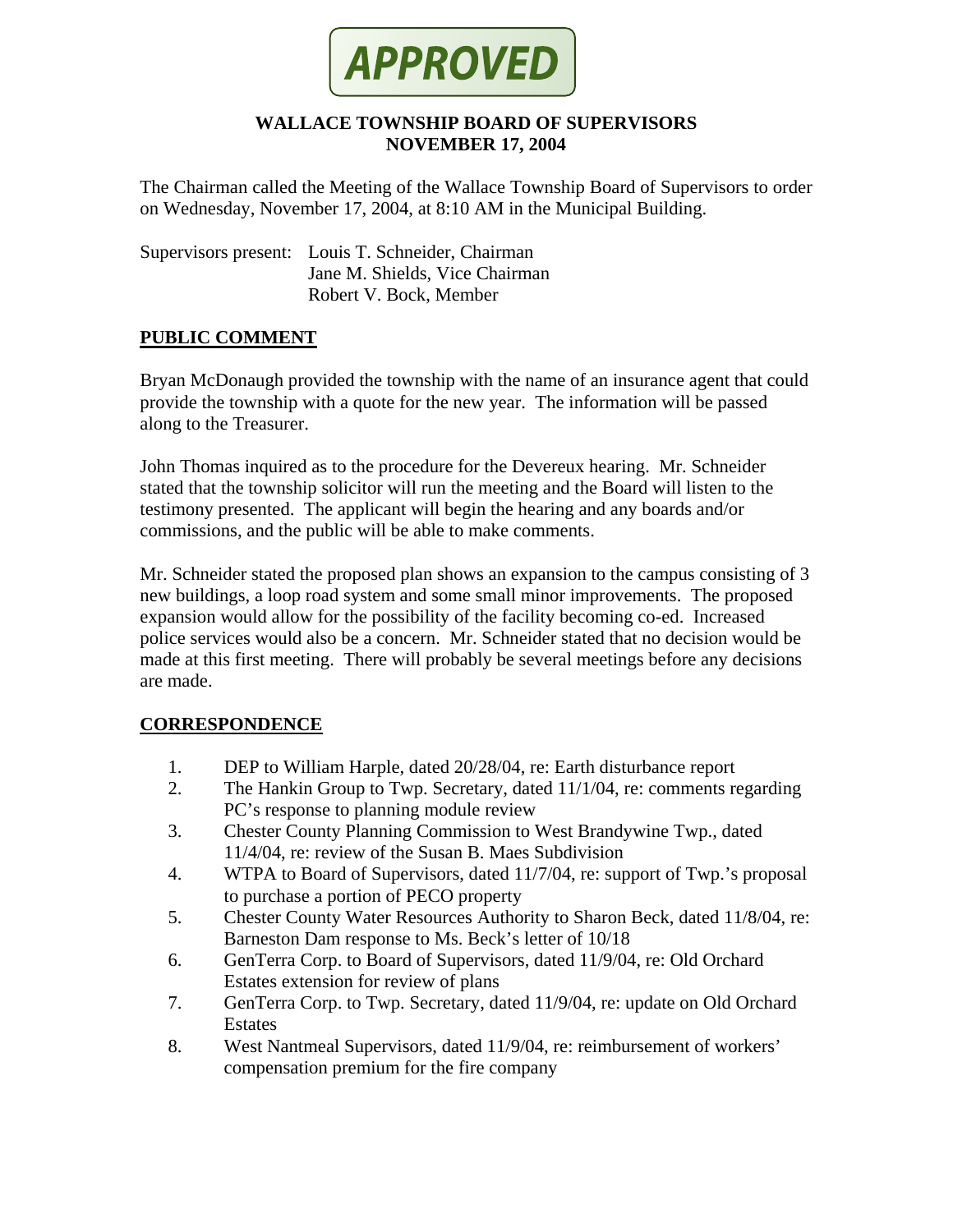

### **WALLACE TOWNSHIP BOARD OF SUPERVISORS NOVEMBER 17, 2004**

The Chairman called the Meeting of the Wallace Township Board of Supervisors to order on Wednesday, November 17, 2004, at 8:10 AM in the Municipal Building.

Supervisors present: Louis T. Schneider, Chairman Jane M. Shields, Vice Chairman Robert V. Bock, Member

### **PUBLIC COMMENT**

Bryan McDonaugh provided the township with the name of an insurance agent that could provide the township with a quote for the new year. The information will be passed along to the Treasurer.

John Thomas inquired as to the procedure for the Devereux hearing. Mr. Schneider stated that the township solicitor will run the meeting and the Board will listen to the testimony presented. The applicant will begin the hearing and any boards and/or commissions, and the public will be able to make comments.

Mr. Schneider stated the proposed plan shows an expansion to the campus consisting of 3 new buildings, a loop road system and some small minor improvements. The proposed expansion would allow for the possibility of the facility becoming co-ed. Increased police services would also be a concern. Mr. Schneider stated that no decision would be made at this first meeting. There will probably be several meetings before any decisions are made.

## **CORRESPONDENCE**

- 1. DEP to William Harple, dated 20/28/04, re: Earth disturbance report
- 2. The Hankin Group to Twp. Secretary, dated 11/1/04, re: comments regarding PC's response to planning module review
- 3. Chester County Planning Commission to West Brandywine Twp., dated 11/4/04, re: review of the Susan B. Maes Subdivision
- 4. WTPA to Board of Supervisors, dated 11/7/04, re: support of Twp.'s proposal to purchase a portion of PECO property
- 5. Chester County Water Resources Authority to Sharon Beck, dated 11/8/04, re: Barneston Dam response to Ms. Beck's letter of 10/18
- 6. GenTerra Corp. to Board of Supervisors, dated 11/9/04, re: Old Orchard Estates extension for review of plans
- 7. GenTerra Corp. to Twp. Secretary, dated 11/9/04, re: update on Old Orchard Estates
- 8. West Nantmeal Supervisors, dated 11/9/04, re: reimbursement of workers' compensation premium for the fire company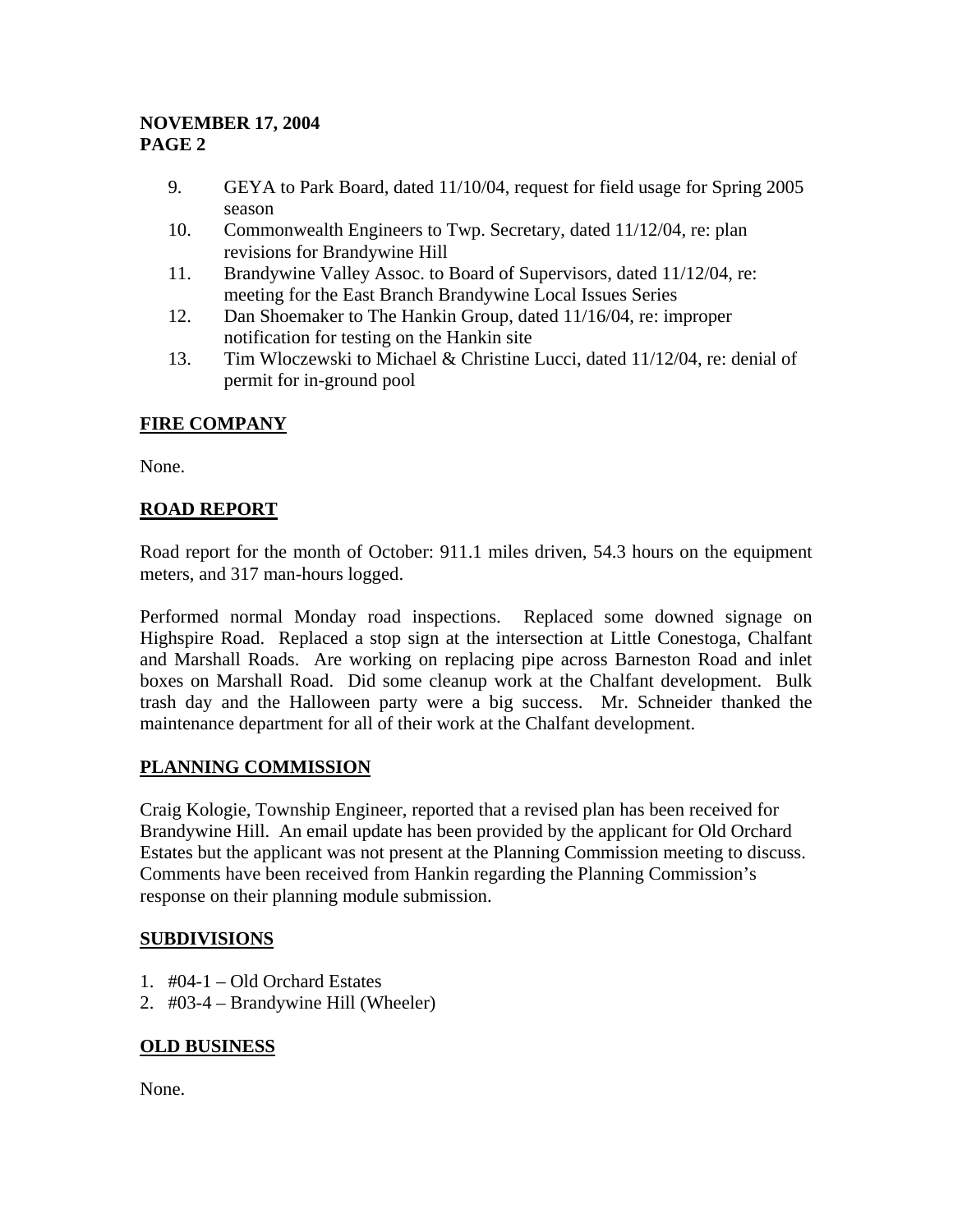## **NOVEMBER 17, 2004 PAGE 2**

- 9. GEYA to Park Board, dated 11/10/04, request for field usage for Spring 2005 season
- 10. Commonwealth Engineers to Twp. Secretary, dated 11/12/04, re: plan revisions for Brandywine Hill
- 11. Brandywine Valley Assoc. to Board of Supervisors, dated 11/12/04, re: meeting for the East Branch Brandywine Local Issues Series
- 12. Dan Shoemaker to The Hankin Group, dated 11/16/04, re: improper notification for testing on the Hankin site
- 13. Tim Wloczewski to Michael & Christine Lucci, dated 11/12/04, re: denial of permit for in-ground pool

# **FIRE COMPANY**

None.

## **ROAD REPORT**

Road report for the month of October: 911.1 miles driven, 54.3 hours on the equipment meters, and 317 man-hours logged.

Performed normal Monday road inspections. Replaced some downed signage on Highspire Road. Replaced a stop sign at the intersection at Little Conestoga, Chalfant and Marshall Roads. Are working on replacing pipe across Barneston Road and inlet boxes on Marshall Road. Did some cleanup work at the Chalfant development. Bulk trash day and the Halloween party were a big success. Mr. Schneider thanked the maintenance department for all of their work at the Chalfant development.

## **PLANNING COMMISSION**

Craig Kologie, Township Engineer, reported that a revised plan has been received for Brandywine Hill. An email update has been provided by the applicant for Old Orchard Estates but the applicant was not present at the Planning Commission meeting to discuss. Comments have been received from Hankin regarding the Planning Commission's response on their planning module submission.

# **SUBDIVISIONS**

- 1. #04-1 Old Orchard Estates
- 2. #03-4 Brandywine Hill (Wheeler)

## **OLD BUSINESS**

None.